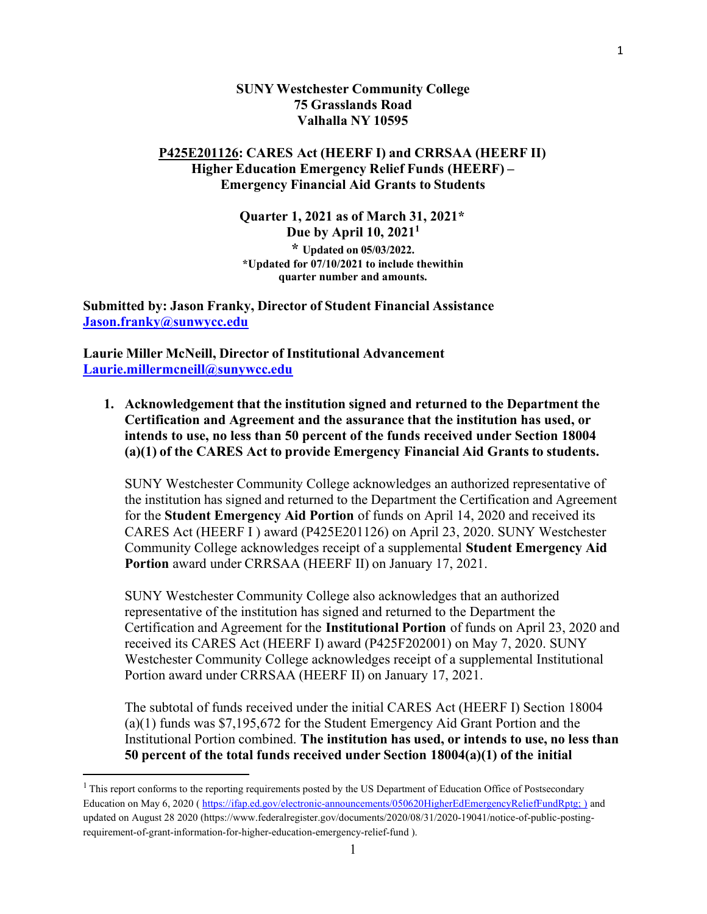### SUNY Westchester Community College 75 Grasslands Road Valhalla NY 10595

### P425E201126: CARES Act (HEERF I) and CRRSAA (HEERF II) Higher Education Emergency Relief Funds (HEERF) – Emergency Financial Aid Grants to Students

Quarter 1, 2021 as of March 31, 2021\* Due by April  $10$ ,  $2021<sup>1</sup>$ \* Updated on 05/03/2022. \*Updated for  $\frac{07}{10/2021}$  to include the within quarter number and amounts.

Submitted by: Jason Franky, Director of Student Financial Assistance Jason.franky@sunwycc.edu

Laurie Miller McNeill, Director of Institutional Advancement Laurie.millermcneill@sunywcc.edu

1. Acknowledgement that the institution signed and returned to the Department the Certification and Agreement and the assurance that the institution has used, or intends to use, no less than 50 percent of the funds received under Section 18004 (a)(1) of the CARES Act to provide Emergency Financial Aid Grants to students.

SUNY Westchester Community College acknowledges an authorized representative of the institution has signed and returned to the Department the Certification and Agreement for the Student Emergency Aid Portion of funds on April 14, 2020 and received its CARES Act (HEERF I ) award (P425E201126) on April 23, 2020. SUNY Westchester Community College acknowledges receipt of a supplemental Student Emergency Aid Portion award under CRRSAA (HEERF II) on January 17, 2021.

SUNY Westchester Community College also acknowledges that an authorized representative of the institution has signed and returned to the Department the Certification and Agreement for the Institutional Portion of funds on April 23, 2020 and received its CARES Act (HEERF I) award (P425F202001) on May 7, 2020. SUNY Westchester Community College acknowledges receipt of a supplemental Institutional Portion award under CRRSAA (HEERF II) on January 17, 2021.

The subtotal of funds received under the initial CARES Act (HEERF I) Section 18004 (a)(1) funds was \$7,195,672 for the Student Emergency Aid Grant Portion and the Institutional Portion combined. The institution has used, or intends to use, no less than 50 percent of the total funds received under Section 18004(a)(1) of the initial

<sup>&</sup>lt;sup>1</sup> This report conforms to the reporting requirements posted by the US Department of Education Office of Postsecondary Education on May 6, 2020 ( https://ifap.ed.gov/electronic-announcements/050620HigherEdEmergencyReliefFundRptg; ) and updated on August 28 2020 (https://www.federalregister.gov/documents/2020/08/31/2020-19041/notice-of-public-postingrequirement-of-grant-information-for-higher-education-emergency-relief-fund ).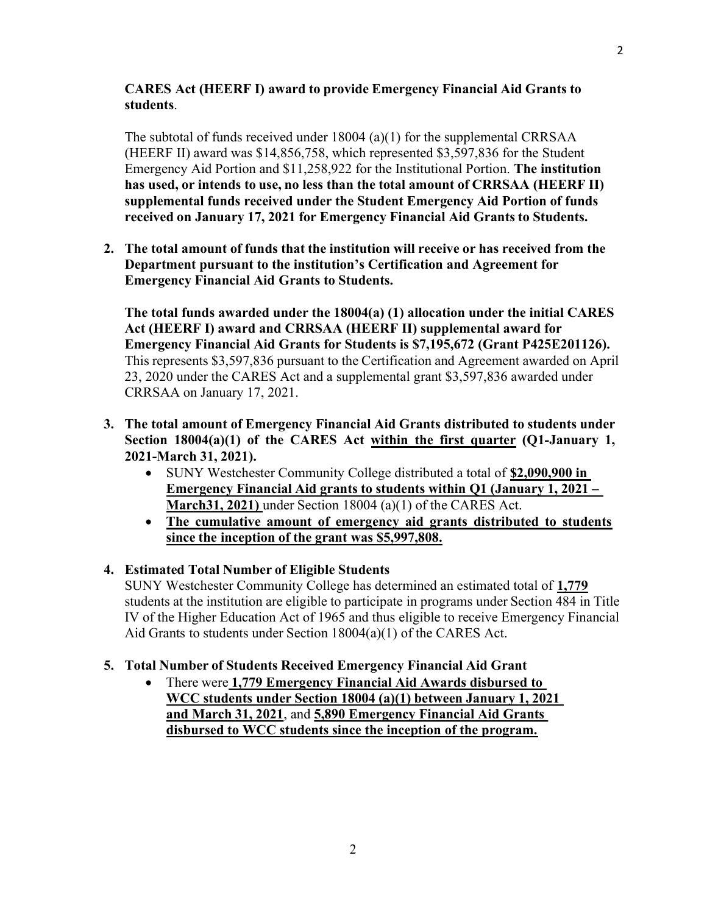# CARES Act (HEERF I) award to provide Emergency Financial Aid Grants to students.

The subtotal of funds received under  $18004$  (a)(1) for the supplemental CRRSAA (HEERF II) award was \$14,856,758, which represented \$3,597,836 for the Student Emergency Aid Portion and \$11,258,922 for the Institutional Portion. The institution has used, or intends to use, no less than the total amount of CRRSAA (HEERF II) supplemental funds received under the Student Emergency Aid Portion of funds received on January 17, 2021 for Emergency Financial Aid Grants to Students.

2. The total amount of funds that the institution will receive or has received from the Department pursuant to the institution's Certification and Agreement for Emergency Financial Aid Grants to Students.

The total funds awarded under the 18004(a) (1) allocation under the initial CARES Act (HEERF I) award and CRRSAA (HEERF II) supplemental award for Emergency Financial Aid Grants for Students is \$7,195,672 (Grant P425E201126). This represents \$3,597,836 pursuant to the Certification and Agreement awarded on April 23, 2020 under the CARES Act and a supplemental grant \$3,597,836 awarded under CRRSAA on January 17, 2021.

- 3. The total amount of Emergency Financial Aid Grants distributed to students under Section 18004(a)(1) of the CARES Act within the first quarter (Q1-January 1, 2021-March 31, 2021).
	- SUNY Westchester Community College distributed a total of \$2,090,900 in Emergency Financial Aid grants to students within Q1 (January 1, 2021 – March 31, 2021) under Section 18004 (a)(1) of the CARES Act.
	- The cumulative amount of emergency aid grants distributed to students since the inception of the grant was \$5,997,808.
- 4. Estimated Total Number of Eligible Students

SUNY Westchester Community College has determined an estimated total of 1,779 students at the institution are eligible to participate in programs under Section 484 in Title IV of the Higher Education Act of 1965 and thus eligible to receive Emergency Financial Aid Grants to students under Section 18004(a)(1) of the CARES Act.

# 5. Total Number of Students Received Emergency Financial Aid Grant

• There were 1,779 Emergency Financial Aid Awards disbursed to WCC students under Section 18004 (a)(1) between January 1, 2021 and March 31, 2021, and 5,890 Emergency Financial Aid Grants disbursed to WCC students since the inception of the program.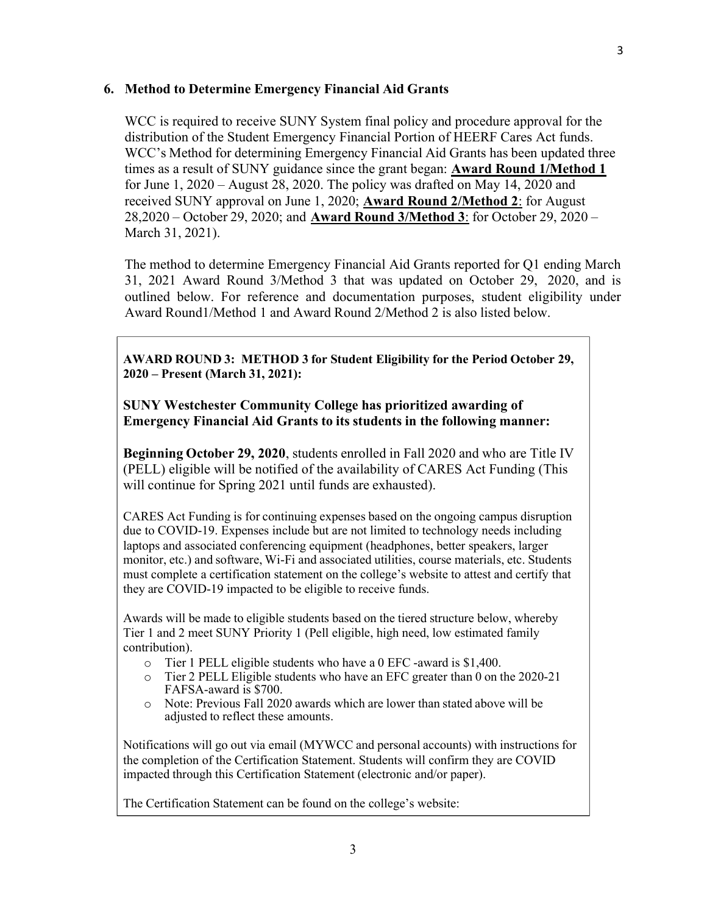## 6. Method to Determine Emergency Financial Aid Grants

WCC is required to receive SUNY System final policy and procedure approval for the distribution of the Student Emergency Financial Portion of HEERF Cares Act funds. WCC's Method for determining Emergency Financial Aid Grants has been updated three times as a result of SUNY guidance since the grant began: Award Round 1/Method 1 for June 1, 2020 – August 28, 2020. The policy was drafted on May 14, 2020 and received SUNY approval on June 1, 2020; **Award Round 2/Method 2:** for August 28,2020 – October 29, 2020; and Award Round 3/Method 3: for October 29, 2020 – March 31, 2021).

The method to determine Emergency Financial Aid Grants reported for Q1 ending March 31, 2021 Award Round 3/Method 3 that was updated on October 29, 2020, and is outlined below. For reference and documentation purposes, student eligibility under Award Round1/Method 1 and Award Round 2/Method 2 is also listed below.

AWARD ROUND 3: METHOD 3 for Student Eligibility for the Period October 29, 2020 – Present (March 31, 2021):

SUNY Westchester Community College has prioritized awarding of Emergency Financial Aid Grants to its students in the following manner:

Beginning October 29, 2020, students enrolled in Fall 2020 and who are Title IV (PELL) eligible will be notified of the availability of CARES Act Funding (This will continue for Spring 2021 until funds are exhausted).

CARES Act Funding is for continuing expenses based on the ongoing campus disruption due to COVID-19. Expenses include but are not limited to technology needs including laptops and associated conferencing equipment (headphones, better speakers, larger monitor, etc.) and software, Wi-Fi and associated utilities, course materials, etc. Students must complete a certification statement on the college's website to attest and certify that they are COVID-19 impacted to be eligible to receive funds.

Awards will be made to eligible students based on the tiered structure below, whereby Tier 1 and 2 meet SUNY Priority 1 (Pell eligible, high need, low estimated family contribution).

- o Tier 1 PELL eligible students who have a 0 EFC -award is \$1,400.
- o Tier 2 PELL Eligible students who have an EFC greater than 0 on the 2020-21 FAFSA-award is \$700.
- o Note: Previous Fall 2020 awards which are lower than stated above will be adjusted to reflect these amounts.

Notifications will go out via email (MYWCC and personal accounts) with instructions for the completion of the Certification Statement. Students will confirm they are COVID impacted through this Certification Statement (electronic and/or paper).

The Certification Statement can be found on the college's website: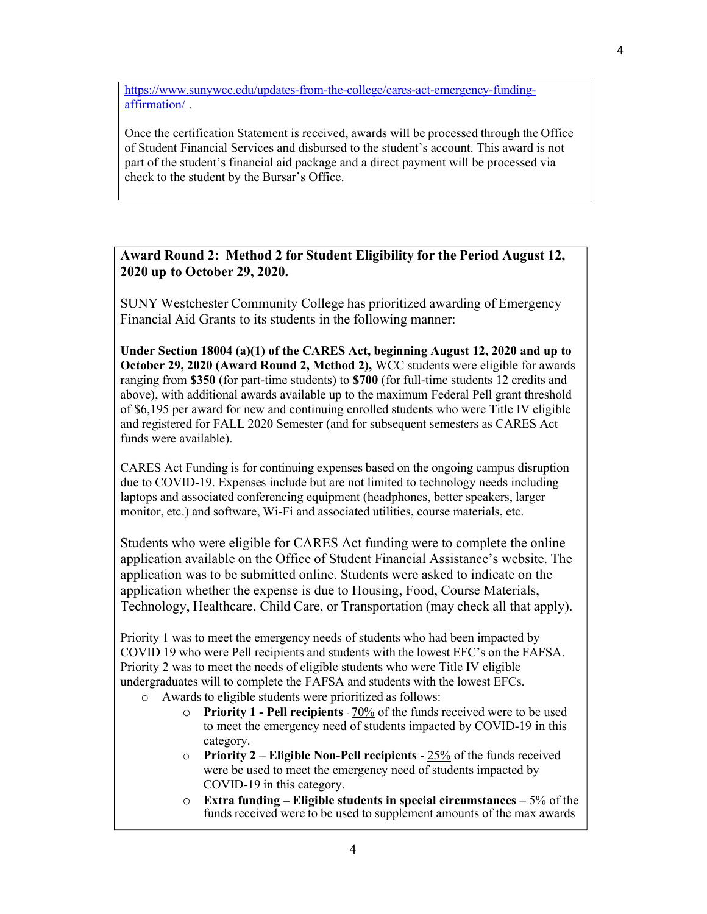https://www.sunywcc.edu/updates-from-the-college/cares-act-emergency-fundingaffirmation/ .

Once the certification Statement is received, awards will be processed through the Office of Student Financial Services and disbursed to the student's account. This award is not part of the student's financial aid package and a direct payment will be processed via check to the student by the Bursar's Office.

Award Round 2: Method 2 for Student Eligibility for the Period August 12, 2020 up to October 29, 2020.

SUNY Westchester Community College has prioritized awarding of Emergency Financial Aid Grants to its students in the following manner:

Under Section 18004 (a)(1) of the CARES Act, beginning August 12, 2020 and up to October 29, 2020 (Award Round 2, Method 2), WCC students were eligible for awards ranging from \$350 (for part-time students) to \$700 (for full-time students 12 credits and above), with additional awards available up to the maximum Federal Pell grant threshold of \$6,195 per award for new and continuing enrolled students who were Title IV eligible and registered for FALL 2020 Semester (and for subsequent semesters as CARES Act funds were available).

CARES Act Funding is for continuing expenses based on the ongoing campus disruption due to COVID-19. Expenses include but are not limited to technology needs including laptops and associated conferencing equipment (headphones, better speakers, larger monitor, etc.) and software, Wi-Fi and associated utilities, course materials, etc.

Students who were eligible for CARES Act funding were to complete the online application available on the Office of Student Financial Assistance's website. The application was to be submitted online. Students were asked to indicate on the application whether the expense is due to Housing, Food, Course Materials, Technology, Healthcare, Child Care, or Transportation (may check all that apply).

Priority 1 was to meet the emergency needs of students who had been impacted by COVID 19 who were Pell recipients and students with the lowest EFC's on the FAFSA. Priority 2 was to meet the needs of eligible students who were Title IV eligible undergraduates will to complete the FAFSA and students with the lowest EFCs.

- o Awards to eligible students were prioritized as follows:
	- o Priority 1 Pell recipients 70% of the funds received were to be used to meet the emergency need of students impacted by COVID-19 in this category.
	- $\circ$  Priority 2 Eligible Non-Pell recipients 25% of the funds received were be used to meet the emergency need of students impacted by COVID-19 in this category.
	- $\circ$  Extra funding Eligible students in special circumstances 5% of the funds received were to be used to supplement amounts of the max awards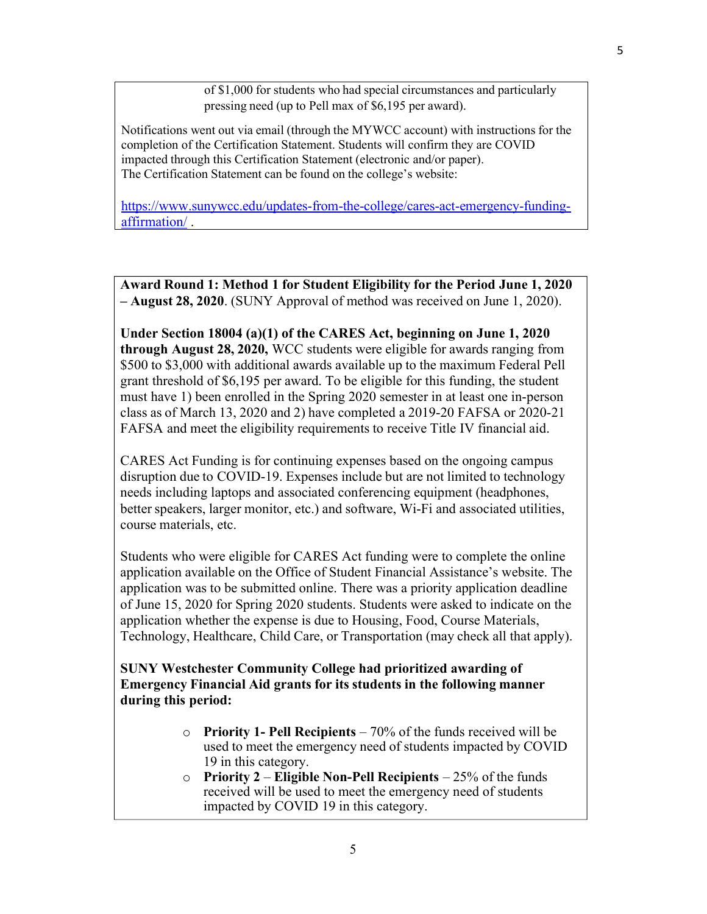of \$1,000 for students who had special circumstances and particularly pressing need (up to Pell max of \$6,195 per award).

Notifications went out via email (through the MYWCC account) with instructions for the completion of the Certification Statement. Students will confirm they are COVID impacted through this Certification Statement (electronic and/or paper). The Certification Statement can be found on the college's website:

https://www.sunywcc.edu/updates-from-the-college/cares-act-emergency-fundingaffirmation/ .

Award Round 1: Method 1 for Student Eligibility for the Period June 1, 2020 – **August 28, 2020**. (SUNY Approval of method was received on June 1, 2020).

Under Section 18004 (a)(1) of the CARES Act, beginning on June 1, 2020 through August 28, 2020, WCC students were eligible for awards ranging from \$500 to \$3,000 with additional awards available up to the maximum Federal Pell grant threshold of \$6,195 per award. To be eligible for this funding, the student must have 1) been enrolled in the Spring 2020 semester in at least one in-person class as of March 13, 2020 and 2) have completed a 2019-20 FAFSA or 2020-21 FAFSA and meet the eligibility requirements to receive Title IV financial aid.

CARES Act Funding is for continuing expenses based on the ongoing campus disruption due to COVID-19. Expenses include but are not limited to technology needs including laptops and associated conferencing equipment (headphones, better speakers, larger monitor, etc.) and software, Wi-Fi and associated utilities, course materials, etc.

Students who were eligible for CARES Act funding were to complete the online application available on the Office of Student Financial Assistance's website. The application was to be submitted online. There was a priority application deadline of June 15, 2020 for Spring 2020 students. Students were asked to indicate on the application whether the expense is due to Housing, Food, Course Materials, Technology, Healthcare, Child Care, or Transportation (may check all that apply).

SUNY Westchester Community College had prioritized awarding of Emergency Financial Aid grants for its students in the following manner during this period:

- $\circ$  Priority 1- Pell Recipients 70% of the funds received will be used to meet the emergency need of students impacted by COVID 19 in this category.
- $\circ$  Priority 2 Eligible Non-Pell Recipients 25% of the funds received will be used to meet the emergency need of students impacted by COVID 19 in this category.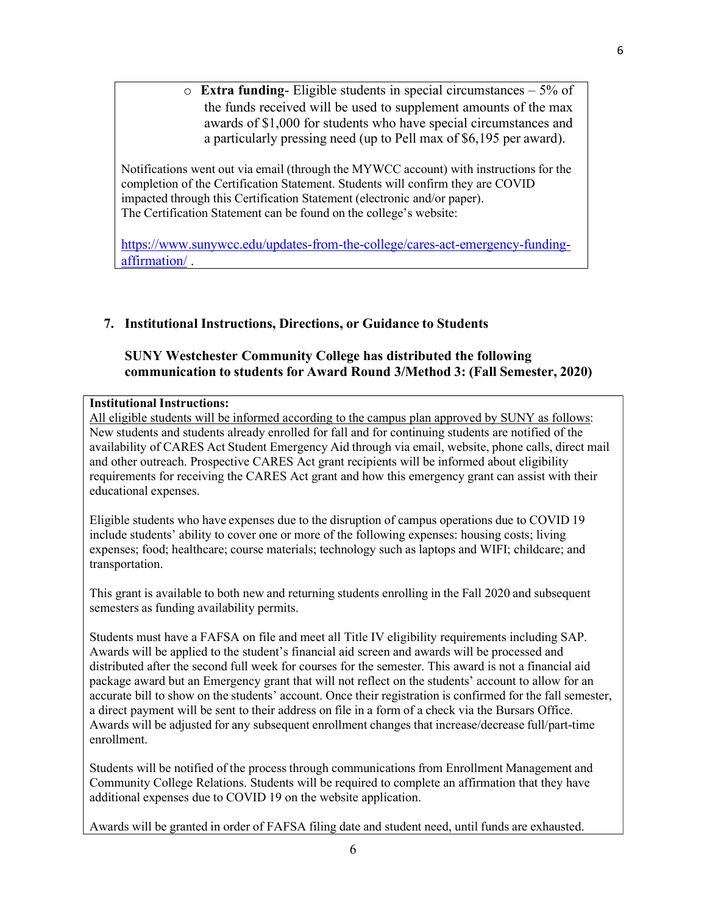$\circ$  **Extra funding-** Eligible students in special circumstances – 5% of the funds received will be used to supplement amounts of the max awards of \$1,000 for students who have special circumstances and a particularly pressing need (up to Pell max of \$6,195 per award).

Notifications went out via email (through the MYWCC account) with instructions for the completion of the Certification Statement. Students will confirm they are COVID impacted through this Certification Statement (electronic and/or paper). The Certification Statement can be found on the college's website:

https://www.sunywcc.edu/updates-from-the-college/cares-act-emergency-fundingaffirmation/ .

# 7. Institutional Instructions, Directions, or Guidance to Students

## SUNY Westchester Community College has distributed the following communication to students for Award Round 3/Method 3: (Fall Semester, 2020)

#### Institutional Instructions:

All eligible students will be informed according to the campus plan approved by SUNY as follows: New students and students already enrolled for fall and for continuing students are notified of the availability of CARES Act Student Emergency Aid through via email, website, phone calls, direct mail and other outreach. Prospective CARES Act grant recipients will be informed about eligibility requirements for receiving the CARES Act grant and how this emergency grant can assist with their educational expenses.

Eligible students who have expenses due to the disruption of campus operations due to COVID 19 include students' ability to cover one or more of the following expenses: housing costs; living expenses; food; healthcare; course materials; technology such as laptops and WIFI; childcare; and transportation.

This grant is available to both new and returning students enrolling in the Fall 2020 and subsequent semesters as funding availability permits.

Students must have a FAFSA on file and meet all Title IV eligibility requirements including SAP. Awards will be applied to the student's financial aid screen and awards will be processed and distributed after the second full week for courses for the semester. This award is not a financial aid package award but an Emergency grant that will not reflect on the students' account to allow for an accurate bill to show on the students' account. Once their registration is confirmed for the fall semester, a direct payment will be sent to their address on file in a form of a check via the Bursars Office. Awards will be adjusted for any subsequent enrollment changes that increase/decrease full/part-time enrollment.

Students will be notified of the process through communications from Enrollment Management and Community College Relations. Students will be required to complete an affirmation that they have additional expenses due to COVID 19 on the website application.

Awards will be granted in order of FAFSA filing date and student need, until funds are exhausted.